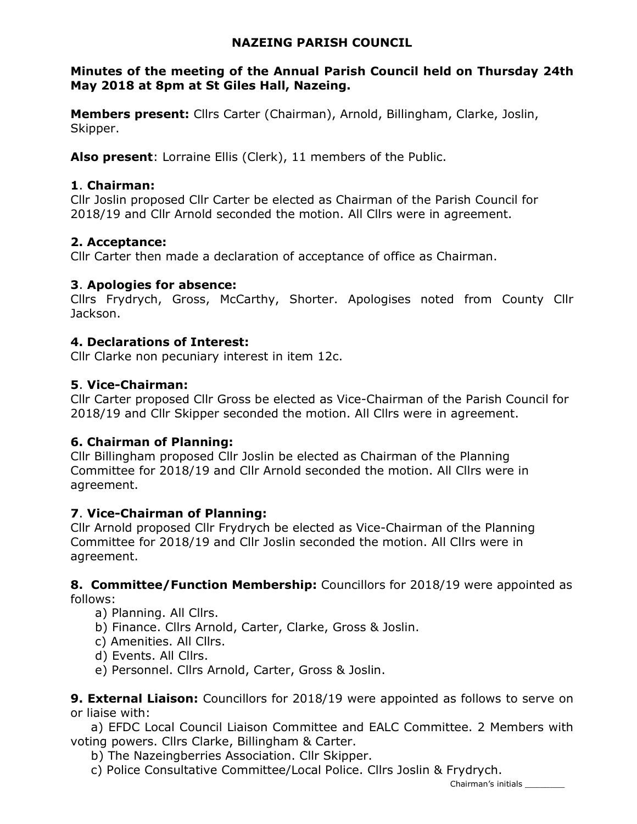# NAZEING PARISH COUNCIL

## Minutes of the meeting of the Annual Parish Council held on Thursday 24th May 2018 at 8pm at St Giles Hall, Nazeing.

Members present: Cllrs Carter (Chairman), Arnold, Billingham, Clarke, Joslin, Skipper.

Also present: Lorraine Ellis (Clerk), 11 members of the Public.

### 1. Chairman:

Cllr Joslin proposed Cllr Carter be elected as Chairman of the Parish Council for 2018/19 and Cllr Arnold seconded the motion. All Cllrs were in agreement.

# 2. Acceptance:

Cllr Carter then made a declaration of acceptance of office as Chairman.

# 3. Apologies for absence:

Cllrs Frydrych, Gross, McCarthy, Shorter. Apologises noted from County Cllr Jackson.

# 4. Declarations of Interest:

Cllr Clarke non pecuniary interest in item 12c.

# 5. Vice-Chairman:

Cllr Carter proposed Cllr Gross be elected as Vice-Chairman of the Parish Council for 2018/19 and Cllr Skipper seconded the motion. All Cllrs were in agreement.

# 6. Chairman of Planning:

Cllr Billingham proposed Cllr Joslin be elected as Chairman of the Planning Committee for 2018/19 and Cllr Arnold seconded the motion. All Cllrs were in agreement.

### 7. Vice-Chairman of Planning:

Cllr Arnold proposed Cllr Frydrych be elected as Vice-Chairman of the Planning Committee for 2018/19 and Cllr Joslin seconded the motion. All Cllrs were in agreement.

8. Committee/Function Membership: Councillors for 2018/19 were appointed as follows:

- a) Planning. All Cllrs.
- b) Finance. Cllrs Arnold, Carter, Clarke, Gross & Joslin.
- c) Amenities. All Cllrs.
- d) Events. All Cllrs.
- e) Personnel. Cllrs Arnold, Carter, Gross & Joslin.

**9. External Liaison:** Councillors for 2018/19 were appointed as follows to serve on or liaise with:

 a) EFDC Local Council Liaison Committee and EALC Committee. 2 Members with voting powers. Cllrs Clarke, Billingham & Carter.

b) The Nazeingberries Association. Cllr Skipper.

c) Police Consultative Committee/Local Police. Cllrs Joslin & Frydrych.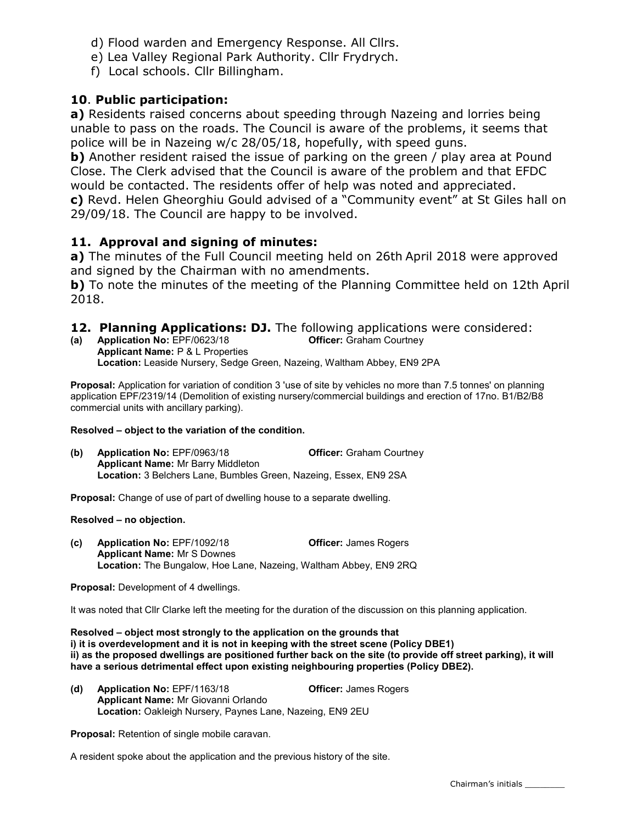- d) Flood warden and Emergency Response. All Cllrs.
- e) Lea Valley Regional Park Authority. Cllr Frydrych.
- f) Local schools. Cllr Billingham.

# 10. Public participation:

a) Residents raised concerns about speeding through Nazeing and lorries being unable to pass on the roads. The Council is aware of the problems, it seems that police will be in Nazeing w/c 28/05/18, hopefully, with speed guns.

b) Another resident raised the issue of parking on the green / play area at Pound Close. The Clerk advised that the Council is aware of the problem and that EFDC would be contacted. The residents offer of help was noted and appreciated. c) Revd. Helen Gheorghiu Gould advised of a "Community event" at St Giles hall on 29/09/18. The Council are happy to be involved.

### 11. Approval and signing of minutes:

a) The minutes of the Full Council meeting held on 26th April 2018 were approved and signed by the Chairman with no amendments.

b) To note the minutes of the meeting of the Planning Committee held on 12th April 2018.

- **12. Planning Applications: DJ.** The following applications were considered:<br>(a) Application No: EPF/0623/18 **CHEC** Officer: Graham Courtney
- (a) Application No:  $EPF/0623/18$ Applicant Name: P & L Properties Location: Leaside Nursery, Sedge Green, Nazeing, Waltham Abbey, EN9 2PA

**Proposal:** Application for variation of condition 3 'use of site by vehicles no more than 7.5 tonnes' on planning application EPF/2319/14 (Demolition of existing nursery/commercial buildings and erection of 17no. B1/B2/B8 commercial units with ancillary parking).

#### Resolved – object to the variation of the condition.

(b) Application No: EPF/0963/18 Officer: Graham Courtney Applicant Name: Mr Barry Middleton Location: 3 Belchers Lane, Bumbles Green, Nazeing, Essex, EN9 2SA

Proposal: Change of use of part of dwelling house to a separate dwelling.

#### Resolved – no objection.

(c) Application No: EPF/1092/18 Officer: James Rogers Applicant Name: Mr S Downes Location: The Bungalow, Hoe Lane, Nazeing, Waltham Abbey, EN9 2RQ

Proposal: Development of 4 dwellings.

It was noted that Cllr Clarke left the meeting for the duration of the discussion on this planning application.

Resolved – object most strongly to the application on the grounds that i) it is overdevelopment and it is not in keeping with the street scene (Policy DBE1) ii) as the proposed dwellings are positioned further back on the site (to provide off street parking), it will have a serious detrimental effect upon existing neighbouring properties (Policy DBE2).

(d) Application No: EPF/1163/18 Officer: James Rogers Applicant Name: Mr Giovanni Orlando Location: Oakleigh Nursery, Paynes Lane, Nazeing, EN9 2EU

Proposal: Retention of single mobile caravan.

A resident spoke about the application and the previous history of the site.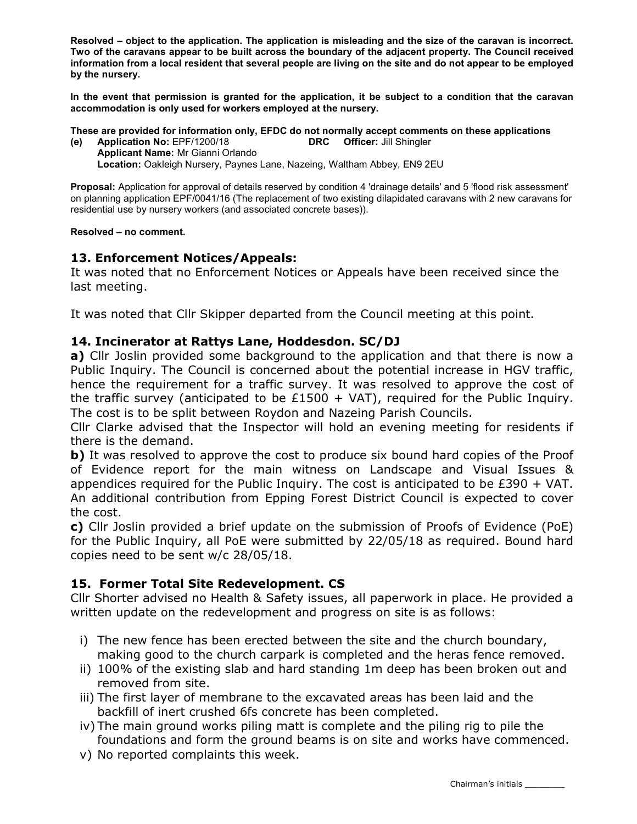Resolved – object to the application. The application is misleading and the size of the caravan is incorrect. Two of the caravans appear to be built across the boundary of the adjacent property. The Council received information from a local resident that several people are living on the site and do not appear to be employed by the nursery.

In the event that permission is granted for the application, it be subject to a condition that the caravan accommodation is only used for workers employed at the nursery.

These are provided for information only, EFDC do not normally accept comments on these applications

- (e) Application No: EPF/1200/18 DRC Officer: Jill Shingler
	- Applicant Name: Mr Gianni Orlando Location: Oakleigh Nursery, Paynes Lane, Nazeing, Waltham Abbey, EN9 2EU

Proposal: Application for approval of details reserved by condition 4 'drainage details' and 5 'flood risk assessment' on planning application EPF/0041/16 (The replacement of two existing dilapidated caravans with 2 new caravans for residential use by nursery workers (and associated concrete bases)).

#### Resolved – no comment.

### 13. Enforcement Notices/Appeals:

It was noted that no Enforcement Notices or Appeals have been received since the last meeting.

It was noted that Cllr Skipper departed from the Council meeting at this point.

### 14. Incinerator at Rattys Lane, Hoddesdon. SC/DJ

a) Cllr Joslin provided some background to the application and that there is now a Public Inquiry. The Council is concerned about the potential increase in HGV traffic, hence the requirement for a traffic survey. It was resolved to approve the cost of the traffic survey (anticipated to be £1500 + VAT), required for the Public Inquiry. The cost is to be split between Roydon and Nazeing Parish Councils.

Cllr Clarke advised that the Inspector will hold an evening meeting for residents if there is the demand.

b) It was resolved to approve the cost to produce six bound hard copies of the Proof of Evidence report for the main witness on Landscape and Visual Issues & appendices required for the Public Inquiry. The cost is anticipated to be  $£390 + VAT$ . An additional contribution from Epping Forest District Council is expected to cover the cost.

c) Cllr Joslin provided a brief update on the submission of Proofs of Evidence (PoE) for the Public Inquiry, all PoE were submitted by 22/05/18 as required. Bound hard copies need to be sent w/c 28/05/18.

# 15. Former Total Site Redevelopment. CS

Cllr Shorter advised no Health & Safety issues, all paperwork in place. He provided a written update on the redevelopment and progress on site is as follows:

- i) The new fence has been erected between the site and the church boundary, making good to the church carpark is completed and the heras fence removed.
- ii) 100% of the existing slab and hard standing 1m deep has been broken out and removed from site.
- iii) The first layer of membrane to the excavated areas has been laid and the backfill of inert crushed 6fs concrete has been completed.
- iv) The main ground works piling matt is complete and the piling rig to pile the foundations and form the ground beams is on site and works have commenced.
- v) No reported complaints this week.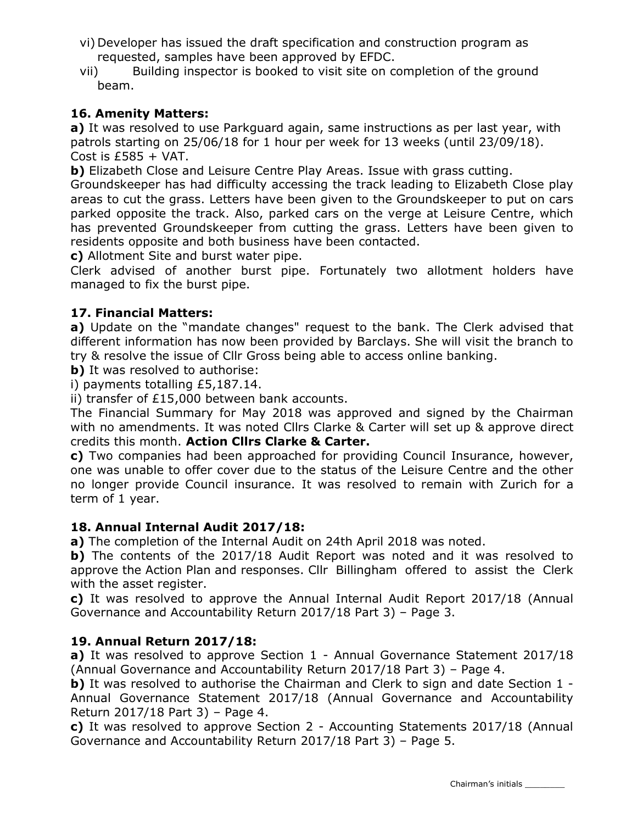- vi) Developer has issued the draft specification and construction program as requested, samples have been approved by EFDC.
- vii) Building inspector is booked to visit site on completion of the ground beam.

# 16. Amenity Matters:

a) It was resolved to use Parkguard again, same instructions as per last year, with patrols starting on 25/06/18 for 1 hour per week for 13 weeks (until 23/09/18). Cost is  $£585 + VAT$ .

b) Elizabeth Close and Leisure Centre Play Areas. Issue with grass cutting.

Groundskeeper has had difficulty accessing the track leading to Elizabeth Close play areas to cut the grass. Letters have been given to the Groundskeeper to put on cars parked opposite the track. Also, parked cars on the verge at Leisure Centre, which has prevented Groundskeeper from cutting the grass. Letters have been given to residents opposite and both business have been contacted.

c) Allotment Site and burst water pipe.

Clerk advised of another burst pipe. Fortunately two allotment holders have managed to fix the burst pipe.

# 17. Financial Matters:

a) Update on the "mandate changes" request to the bank. The Clerk advised that different information has now been provided by Barclays. She will visit the branch to try & resolve the issue of Cllr Gross being able to access online banking.

**b)** It was resolved to authorise:

i) payments totalling £5,187.14.

ii) transfer of £15,000 between bank accounts.

The Financial Summary for May 2018 was approved and signed by the Chairman with no amendments. It was noted Cllrs Clarke & Carter will set up & approve direct credits this month. Action Cllrs Clarke & Carter.

c) Two companies had been approached for providing Council Insurance, however, one was unable to offer cover due to the status of the Leisure Centre and the other no longer provide Council insurance. It was resolved to remain with Zurich for a term of 1 year.

### 18. Annual Internal Audit 2017/18:

a) The completion of the Internal Audit on 24th April 2018 was noted.

b) The contents of the 2017/18 Audit Report was noted and it was resolved to approve the Action Plan and responses. Cllr Billingham offered to assist the Clerk with the asset register.

c) It was resolved to approve the Annual Internal Audit Report 2017/18 (Annual Governance and Accountability Return 2017/18 Part 3) – Page 3.

# 19. Annual Return 2017/18:

a) It was resolved to approve Section 1 - Annual Governance Statement 2017/18 (Annual Governance and Accountability Return 2017/18 Part 3) – Page 4.

b) It was resolved to authorise the Chairman and Clerk to sign and date Section 1 -Annual Governance Statement 2017/18 (Annual Governance and Accountability Return 2017/18 Part 3) – Page 4.

c) It was resolved to approve Section 2 - Accounting Statements 2017/18 (Annual Governance and Accountability Return 2017/18 Part 3) – Page 5.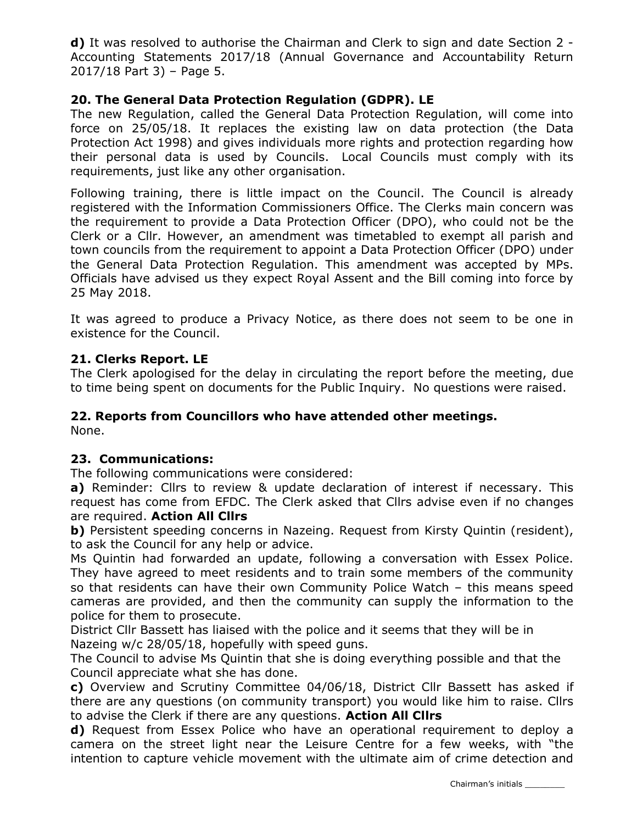d) It was resolved to authorise the Chairman and Clerk to sign and date Section 2 - Accounting Statements 2017/18 (Annual Governance and Accountability Return 2017/18 Part 3) – Page 5.

## 20. The General Data Protection Regulation (GDPR). LE

The new Regulation, called the General Data Protection Regulation, will come into force on 25/05/18. It replaces the existing law on data protection (the Data Protection Act 1998) and gives individuals more rights and protection regarding how their personal data is used by Councils. Local Councils must comply with its requirements, just like any other organisation.

Following training, there is little impact on the Council. The Council is already registered with the Information Commissioners Office. The Clerks main concern was the requirement to provide a Data Protection Officer (DPO), who could not be the Clerk or a Cllr. However, an amendment was timetabled to exempt all parish and town councils from the requirement to appoint a Data Protection Officer (DPO) under the General Data Protection Regulation. This amendment was accepted by MPs. Officials have advised us they expect Royal Assent and the Bill coming into force by 25 May 2018.

It was agreed to produce a Privacy Notice, as there does not seem to be one in existence for the Council.

# 21. Clerks Report. LE

The Clerk apologised for the delay in circulating the report before the meeting, due to time being spent on documents for the Public Inquiry. No questions were raised.

# 22. Reports from Councillors who have attended other meetings.

None.

### 23. Communications:

The following communications were considered:

a) Reminder: Cllrs to review & update declaration of interest if necessary. This request has come from EFDC. The Clerk asked that Cllrs advise even if no changes are required. Action All Cllrs

b) Persistent speeding concerns in Nazeing. Request from Kirsty Quintin (resident), to ask the Council for any help or advice.

Ms Quintin had forwarded an update, following a conversation with Essex Police. They have agreed to meet residents and to train some members of the community so that residents can have their own Community Police Watch – this means speed cameras are provided, and then the community can supply the information to the police for them to prosecute.

District Cllr Bassett has liaised with the police and it seems that they will be in Nazeing w/c 28/05/18, hopefully with speed guns.

The Council to advise Ms Quintin that she is doing everything possible and that the Council appreciate what she has done.

c) Overview and Scrutiny Committee 04/06/18, District Cllr Bassett has asked if there are any questions (on community transport) you would like him to raise. Cllrs to advise the Clerk if there are any questions. Action All Clirs

d) Request from Essex Police who have an operational requirement to deploy a camera on the street light near the Leisure Centre for a few weeks, with "the intention to capture vehicle movement with the ultimate aim of crime detection and